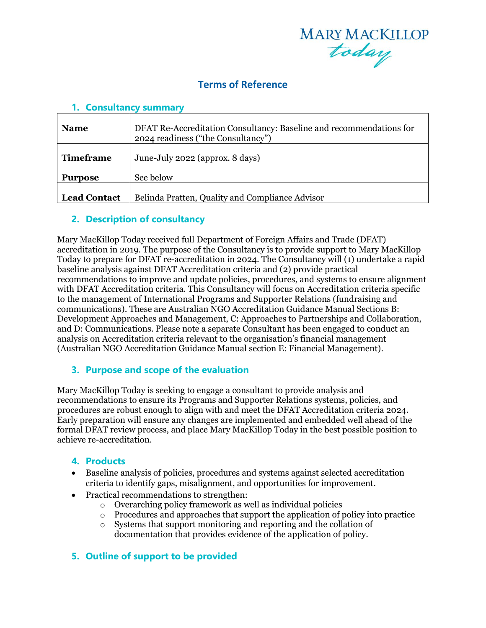

# **Terms of Reference**

| <b>Name</b>         | DFAT Re-Accreditation Consultancy: Baseline and recommendations for<br>2024 readiness ("the Consultancy") |
|---------------------|-----------------------------------------------------------------------------------------------------------|
| <b>Timeframe</b>    | June-July 2022 (approx. 8 days)                                                                           |
|                     |                                                                                                           |
| <b>Purpose</b>      | See below                                                                                                 |
| <b>Lead Contact</b> | Belinda Pratten, Quality and Compliance Advisor                                                           |

#### **1. Consultancy summary**

### **2. Description of consultancy**

Mary MacKillop Today received full Department of Foreign Affairs and Trade (DFAT) accreditation in 2019. The purpose of the Consultancy is to provide support to Mary MacKillop Today to prepare for DFAT re-accreditation in 2024. The Consultancy will (1) undertake a rapid baseline analysis against DFAT Accreditation criteria and (2) provide practical recommendations to improve and update policies, procedures, and systems to ensure alignment with DFAT Accreditation criteria. This Consultancy will focus on Accreditation criteria specific to the management of International Programs and Supporter Relations (fundraising and communications). These are Australian NGO Accreditation Guidance Manual Sections B: Development Approaches and Management, C: Approaches to Partnerships and Collaboration, and D: Communications. Please note a separate Consultant has been engaged to conduct an analysis on Accreditation criteria relevant to the organisation's financial management (Australian NGO Accreditation Guidance Manual section E: Financial Management).

#### **3. Purpose and scope of the evaluation**

Mary MacKillop Today is seeking to engage a consultant to provide analysis and recommendations to ensure its Programs and Supporter Relations systems, policies, and procedures are robust enough to align with and meet the DFAT Accreditation criteria 2024. Early preparation will ensure any changes are implemented and embedded well ahead of the formal DFAT review process, and place Mary MacKillop Today in the best possible position to achieve re-accreditation.

#### **4. Products**

- Baseline analysis of policies, procedures and systems against selected accreditation criteria to identify gaps, misalignment, and opportunities for improvement.
- Practical recommendations to strengthen:
	- o Overarching policy framework as well as individual policies
	- o Procedures and approaches that support the application of policy into practice
	- o Systems that support monitoring and reporting and the collation of documentation that provides evidence of the application of policy.

#### **5. Outline of support to be provided**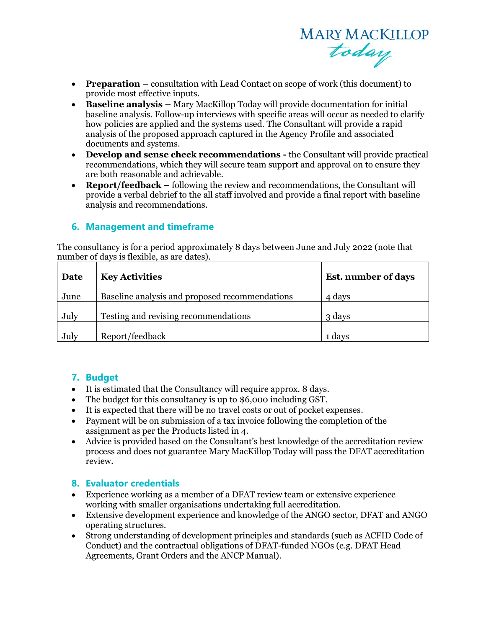

- **Preparation –** consultation with Lead Contact on scope of work (this document) to provide most effective inputs.
- **Baseline analysis –** Mary MacKillop Today will provide documentation for initial baseline analysis. Follow-up interviews with specific areas will occur as needed to clarify how policies are applied and the systems used. The Consultant will provide a rapid analysis of the proposed approach captured in the Agency Profile and associated documents and systems.
- **Develop and sense check recommendations -** the Consultant will provide practical recommendations, which they will secure team support and approval on to ensure they are both reasonable and achievable.
- **Report/feedback –** following the review and recommendations, the Consultant will provide a verbal debrief to the all staff involved and provide a final report with baseline analysis and recommendations.

#### **6. Management and timeframe**

The consultancy is for a period approximately 8 days between June and July 2022 (note that number of days is flexible, as are dates).

| Date | <b>Key Activities</b>                          | <b>Est.</b> number of days |
|------|------------------------------------------------|----------------------------|
| June | Baseline analysis and proposed recommendations | 4 days                     |
| July | Testing and revising recommendations           | 3 days                     |
| July | Report/feedback                                | 1 days                     |

#### **7. Budget**

- It is estimated that the Consultancy will require approx. 8 days.
- The budget for this consultancy is up to \$6,000 including GST.
- It is expected that there will be no travel costs or out of pocket expenses.
- Payment will be on submission of a tax invoice following the completion of the assignment as per the Products listed in 4.
- Advice is provided based on the Consultant's best knowledge of the accreditation review process and does not guarantee Mary MacKillop Today will pass the DFAT accreditation review.

#### **8. Evaluator credentials**

- Experience working as a member of a DFAT review team or extensive experience working with smaller organisations undertaking full accreditation.
- Extensive development experience and knowledge of the ANGO sector, DFAT and ANGO operating structures.
- Strong understanding of development principles and standards (such as ACFID Code of Conduct) and the contractual obligations of DFAT-funded NGOs (e.g. DFAT Head Agreements, Grant Orders and the ANCP Manual).